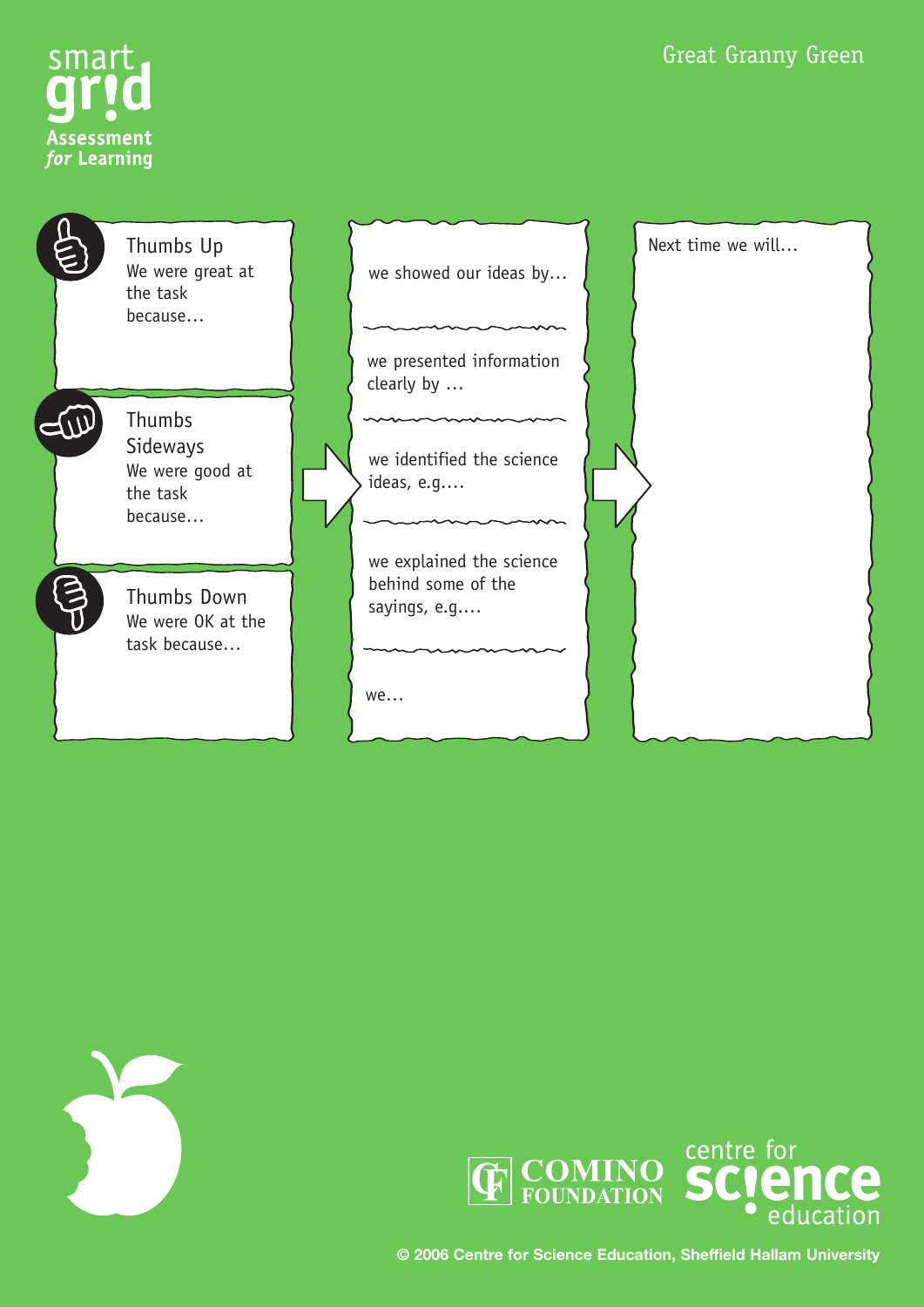



| $\tilde{\mathbf{S}}$ | Thumbs Up<br>We were great at<br>the task<br>because                | we showed our ideas by                                         | Next time we will |
|----------------------|---------------------------------------------------------------------|----------------------------------------------------------------|-------------------|
|                      |                                                                     | we presented information<br>clearly by                         |                   |
|                      | <b>Thumbs</b><br>Sideways<br>We were good at<br>the task<br>because | we identified the science<br>ideas, e.g                        |                   |
|                      | Thumbs Down<br>We were OK at the<br>task because                    | we explained the science<br>behind some of the<br>sayings, e.g |                   |
|                      |                                                                     | we                                                             |                   |





**© 2006 Centre for Science Education, Sheffield Hallam University**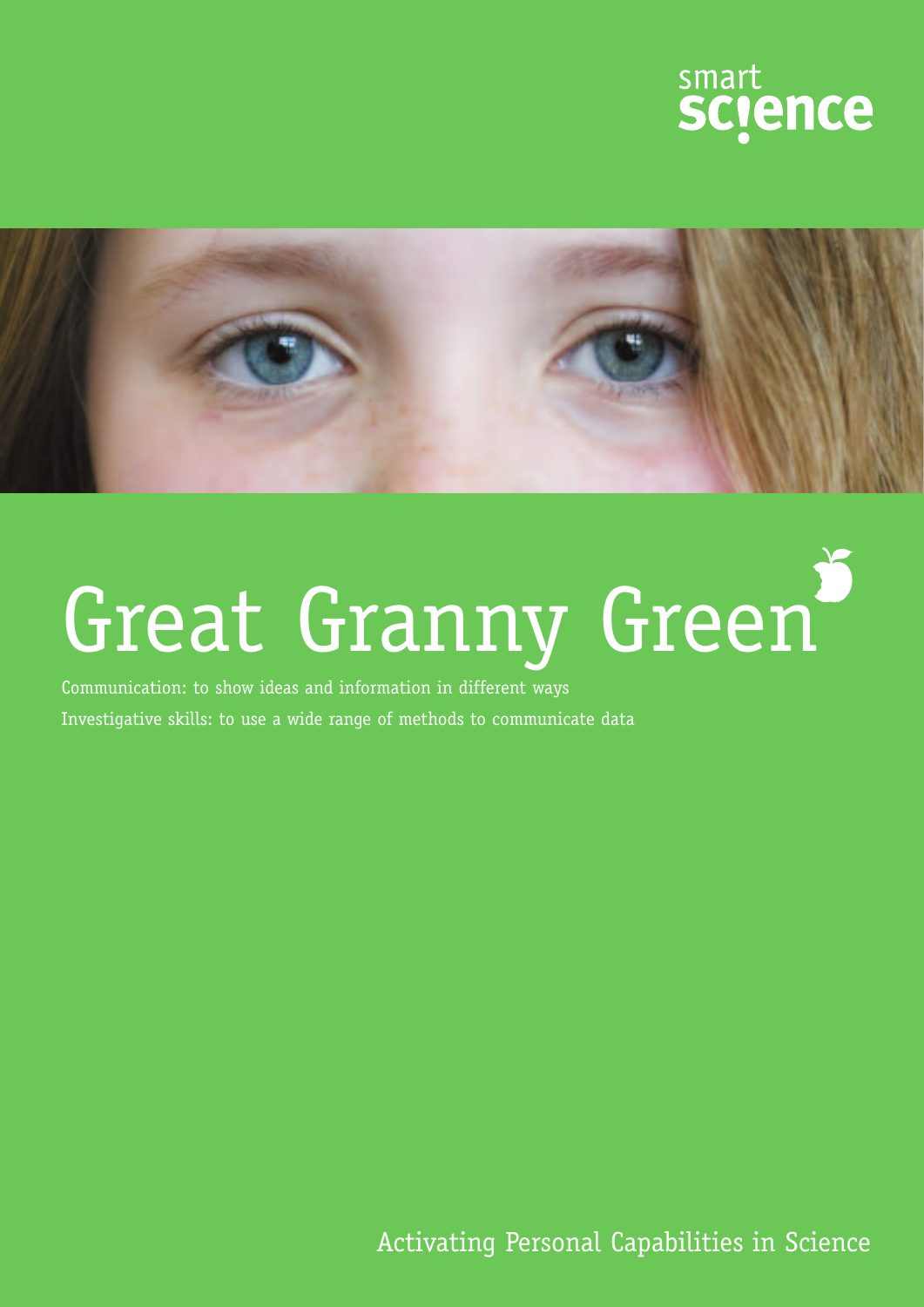



# Great Granny Green

Communication: to show ideas and information in different ways Investigative skills: to use a wide range of methods to communicate data

Activating Personal Capabilities in Science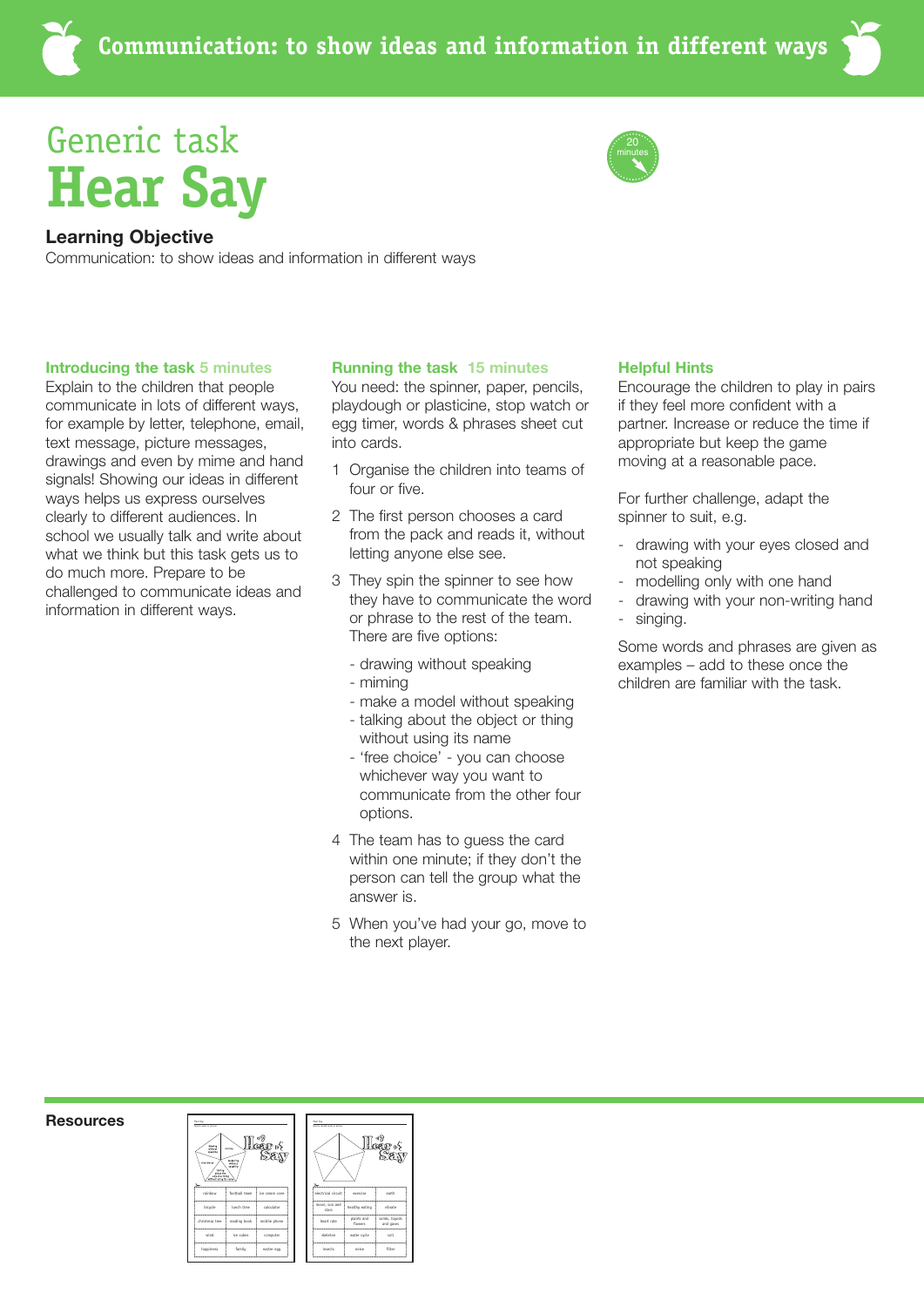### Generic task **Hear Say**



### **Learning Objective**

Communication: to show ideas and information in different ways

### **Introducing the task 5 minutes**

Explain to the children that people communicate in lots of different ways, for example by letter, telephone, email, text message, picture messages, drawings and even by mime and hand signals! Showing our ideas in different ways helps us express ourselves clearly to different audiences. In school we usually talk and write about what we think but this task gets us to do much more. Prepare to be challenged to communicate ideas and information in different ways.

### **Running the task 15 minutes**

You need: the spinner, paper, pencils, playdough or plasticine, stop watch or egg timer, words & phrases sheet cut into cards.

- 1 Organise the children into teams of four or five.
- 2 The first person chooses a card from the pack and reads it, without letting anyone else see.
- 3 They spin the spinner to see how they have to communicate the word or phrase to the rest of the team. There are five options:
	- drawing without speaking
	- miming
	- make a model without speaking
	- talking about the object or thing without using its name
	- 'free choice' you can choose whichever way you want to communicate from the other four options.
- 4 The team has to guess the card within one minute; if they don't the person can tell the group what the answer is.
- 5 When you've had your go, move to the next player.

### **Helpful Hints**

Encourage the children to play in pairs if they feel more confident with a partner. Increase or reduce the time if appropriate but keep the game moving at a reasonable pace.

For further challenge, adapt the spinner to suit, e.g.

- drawing with your eyes closed and not speaking
- modelling only with one hand
- drawing with your non-writing hand - singing.

Some words and phrases are given as examples – add to these once the children are familiar with the task.

#### **Resources**



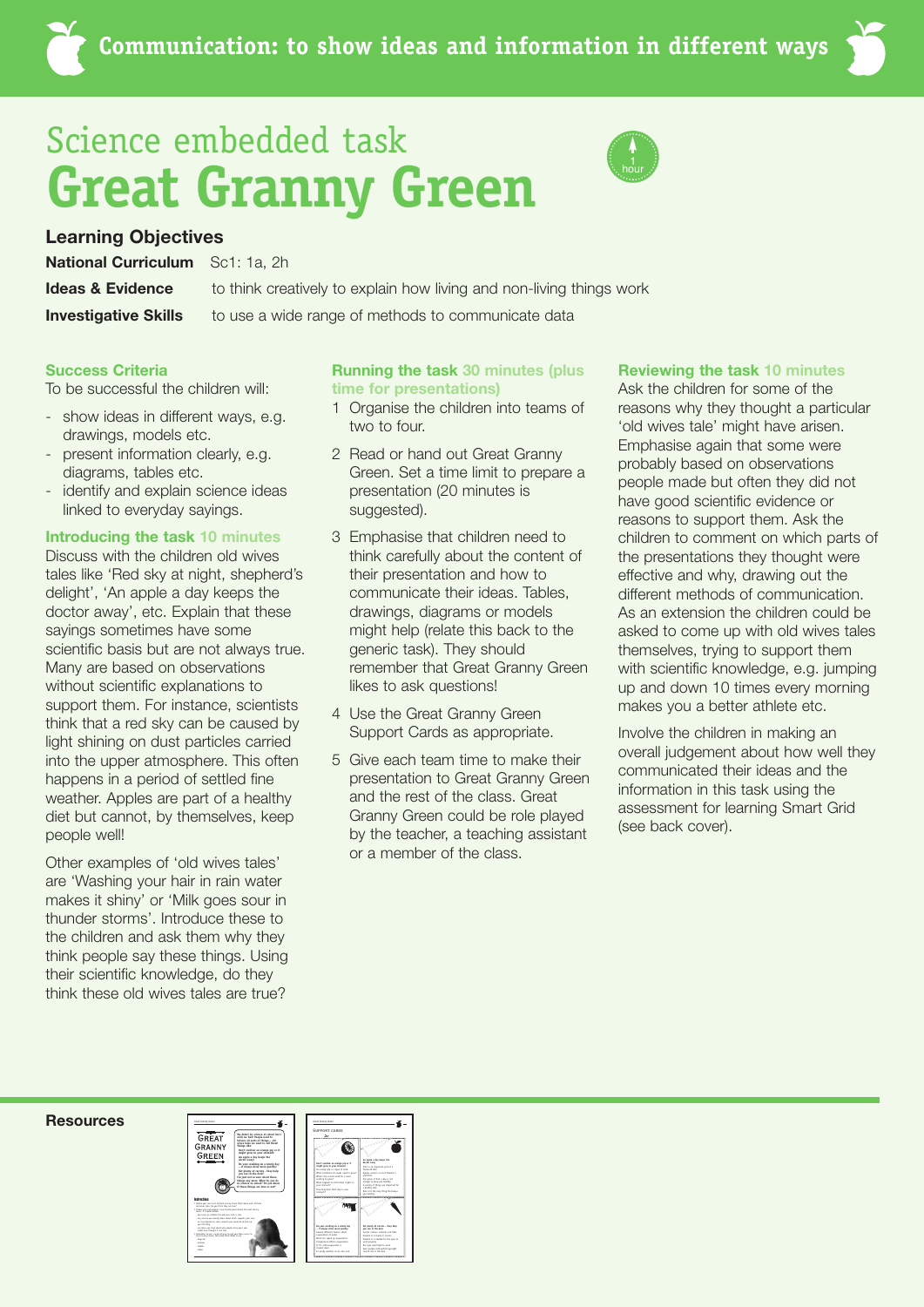## Science embedded task **Great Granny Green**



### **Learning Objectives**

**Ideas & Evidence National Curriculum** Sc1: 1a, 2h

**Investigative Skills** 

to think creatively to explain how living and non-living things work

to use a wide range of methods to communicate data

### **Success Criteria**

To be successful the children will:

- show ideas in different ways, e.g. drawings, models etc.
- present information clearly, e.g. diagrams, tables etc.
- identify and explain science ideas linked to everyday sayings.

### **Introducing the task 10 minutes**

Discuss with the children old wives tales like 'Red sky at night, shepherd's delight', 'An apple a day keeps the doctor away', etc. Explain that these sayings sometimes have some scientific basis but are not always true. Many are based on observations without scientific explanations to support them. For instance, scientists think that a red sky can be caused by light shining on dust particles carried into the upper atmosphere. This often happens in a period of settled fine weather. Apples are part of a healthy diet but cannot, by themselves, keep people well!

Other examples of 'old wives tales' are 'Washing your hair in rain water makes it shiny' or 'Milk goes sour in thunder storms'. Introduce these to the children and ask them why they think people say these things. Using their scientific knowledge, do they think these old wives tales are true?

### **Running the task 30 minutes (plus time for presentations)**

- 1 Organise the children into teams of two to four.
- 2 Read or hand out Great Granny Green. Set a time limit to prepare a presentation (20 minutes is suggested).
- 3 Emphasise that children need to think carefully about the content of their presentation and how to communicate their ideas. Tables, drawings, diagrams or models might help (relate this back to the generic task). They should remember that Great Granny Green likes to ask questions!
- 4 Use the Great Granny Green Support Cards as appropriate.
- 5 Give each team time to make their presentation to Great Granny Green and the rest of the class. Great Granny Green could be role played by the teacher, a teaching assistant or a member of the class.

### **Reviewing the task 10 minutes**

Ask the children for some of the reasons why they thought a particular 'old wives tale' might have arisen. Emphasise again that some were probably based on observations people made but often they did not have good scientific evidence or reasons to support them. Ask the children to comment on which parts of the presentations they thought were effective and why, drawing out the different methods of communication. As an extension the children could be asked to come up with old wives tales themselves, trying to support them with scientific knowledge, e.g. jumping up and down 10 times every morning makes you a better athlete etc.

Involve the children in making an overall judgement about how well they communicated their ideas and the information in this task using the assessment for learning Smart Grid (see back cover).

#### **Resources**



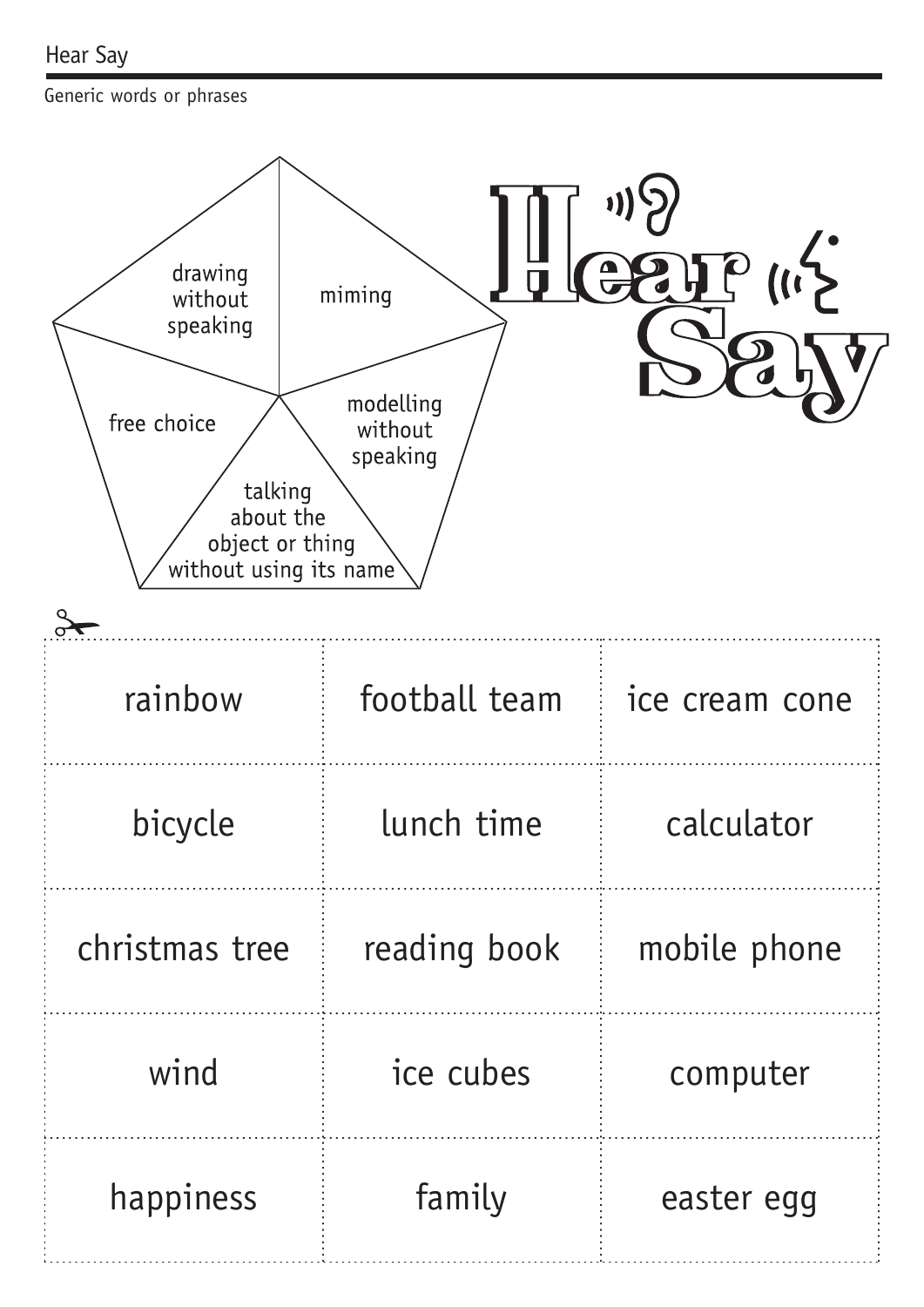Generic words or phrases

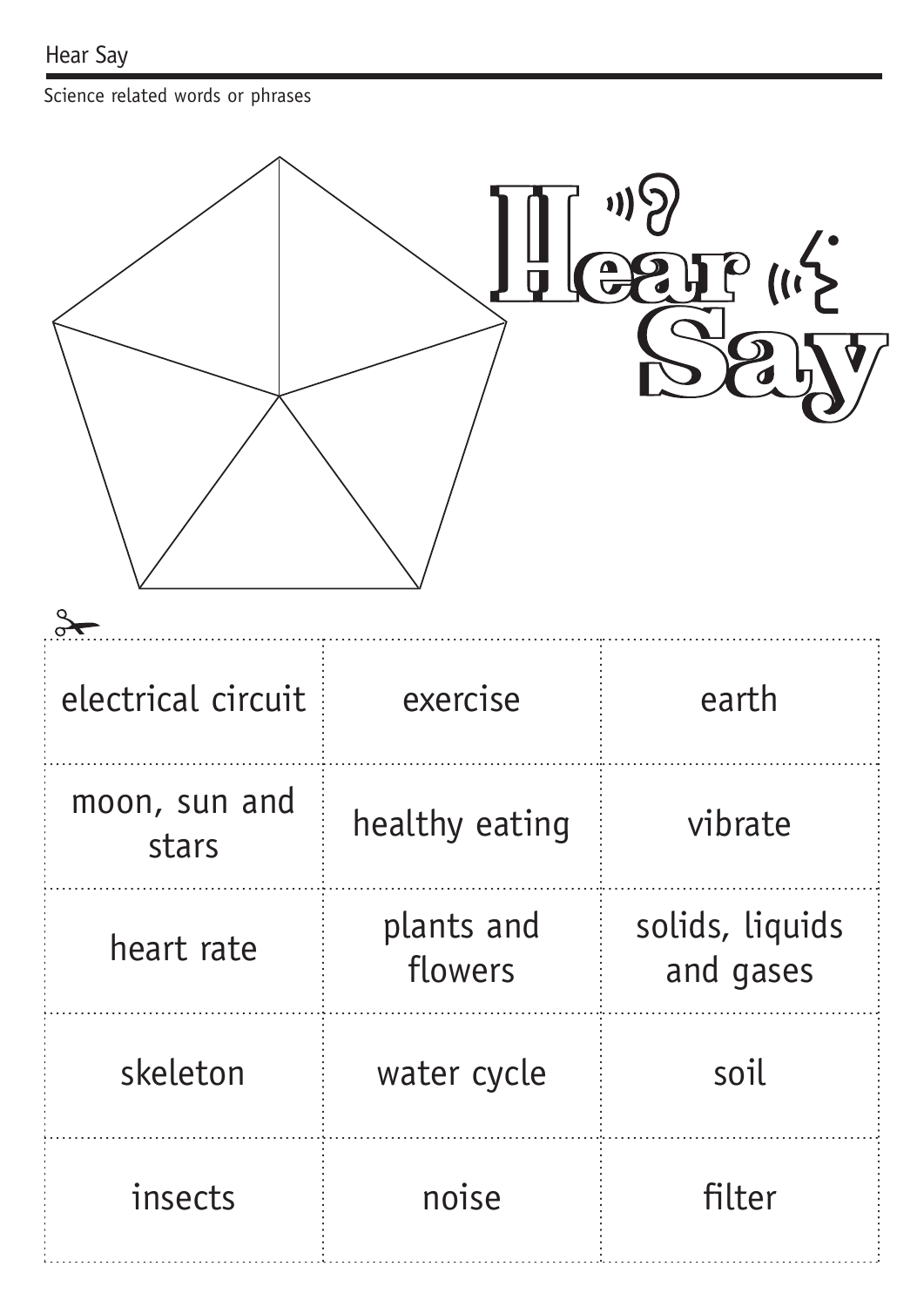Science related words or phrases

| $\sum_{i=1}^{n}$<br>$\bullet$ |                       |                              |  |  |  |  |
|-------------------------------|-----------------------|------------------------------|--|--|--|--|
| electrical circuit            | exercise              | earth                        |  |  |  |  |
| moon, sun and<br>stars        | healthy eating        | vibrate                      |  |  |  |  |
| heart rate                    | plants and<br>flowers | solids, liquids<br>and gases |  |  |  |  |
| skeleton                      | water cycle           | soil                         |  |  |  |  |
| insects                       | noise                 | filter                       |  |  |  |  |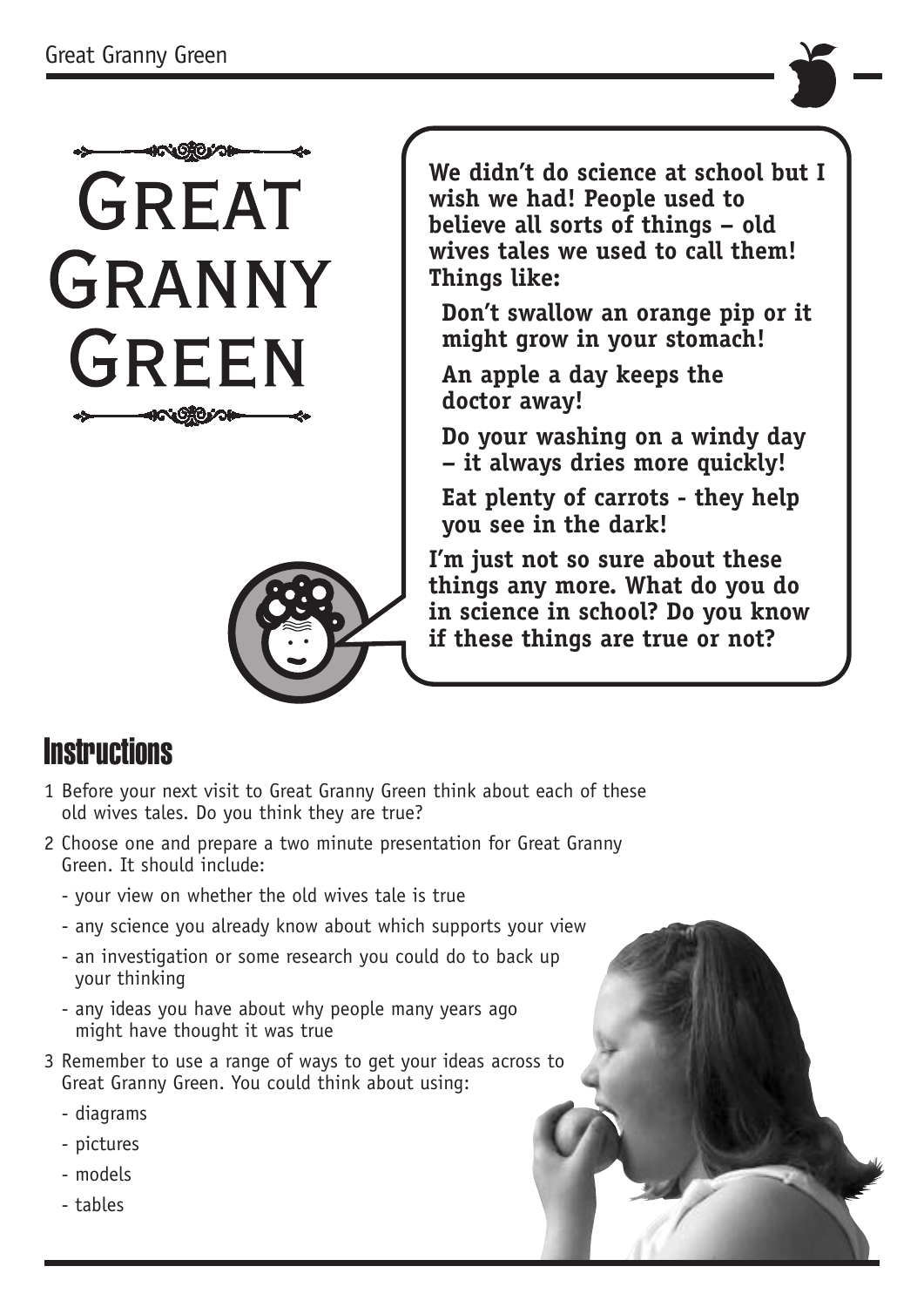



**We didn't do science at school but I wish we had! People used to believe all sorts of things – old wives tales we used to call them! Things like:**

**Don't swallow an orange pip or it might grow in your stomach!**

**An apple a day keeps the doctor away!**

**Do your washing on a windy day – it always dries more quickly!**

**Eat plenty of carrots - they help you see in the dark!**

**I'm just not so sure about these things any more. What do you do in science in school? Do you know if these things are true or not?**

### **Instructions**

- 1 Before your next visit to Great Granny Green think about each of these old wives tales. Do you think they are true?
- 2 Choose one and prepare a two minute presentation for Great Granny Green. It should include:
	- your view on whether the old wives tale is true
	- any science you already know about which supports your view
	- an investigation or some research you could do to back up your thinking
	- any ideas you have about why people many years ago might have thought it was true
- 3 Remember to use a range of ways to get your ideas across to Great Granny Green. You could think about using:
	- diagrams
	- pictures
	- models
	- tables